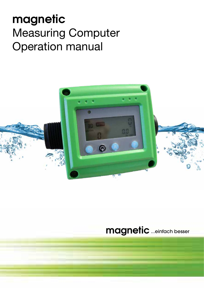# **magnetic** Measuring Computer Operation manual



# **magnetic**...einfach besser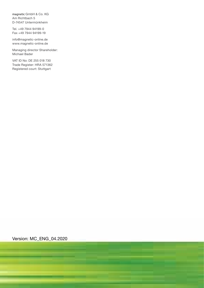magnetic GmbH & Co. KG Am Richtbach 5 D-74547 Untermünkheim

Tel. +49 7944 94199-0 Fax +49 7944 94199-19

info@magnetic-online.de www.magnetic-online.de

Managing director Shareholder: Michael Bader

VAT ID No: DE 255 018 730 Trade Register: HRA 571362 Registered court: Stuttgart

Version: MC\_ENG\_04.2020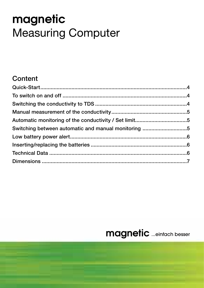# **magnetic** Measuring Computer

# **Content**

| Switching between automatic and manual monitoring 5 |  |
|-----------------------------------------------------|--|
|                                                     |  |
|                                                     |  |
|                                                     |  |
|                                                     |  |
|                                                     |  |

# **magnetic** ...einfach besser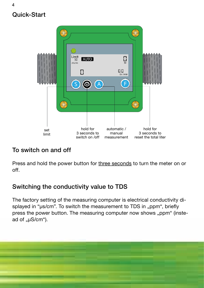# Quick-Start

4



# To switch on and off

Press and hold the power button for three seconds to turn the meter on or off.

## Switching the conductivity value to TDS

The factory setting of the measuring computer is electrical conductivity displayed in "µs/cm". To switch the measurement to TDS in "ppm", briefly press the power button. The measuring computer now shows "ppm" (instead of " $\mu$ S/cm").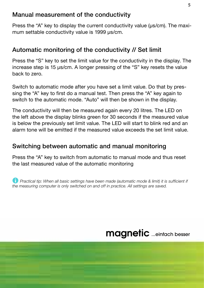#### Manual measurement of the conductivity

Press the "A" key to display the current conductivity value (µs/cm). The maximum settable conductivity value is 1999 µs/cm.

#### Automatic monitoring of the conductivity // Set limit

Press the "S" key to set the limit value for the conductivity in the display. The increase step is 15 µs/cm. A longer pressing of the "S" key resets the value back to zero.

Switch to automatic mode after you have set a limit value. Do that by pressing the "A" key to first do a manual test. Then press the "A" key again to switch to the automatic mode. "Auto" will then be shown in the display.

The conductivity will then be measured again every 20 litres. The LED on the left above the display blinks green for 30 seconds if the measured value is below the previously set limit value. The LED will start to blink red and an alarm tone will be emitted if the measured value exceeds the set limit value.

#### Switching between automatic and manual monitoring

Press the "A" key to switch from automatic to manual mode and thus reset the last measured value of the automatic monitoring

**T** *Practical tip: When all basic settings have been made (automatic mode & limit) it is sufficient if the measuring computer is only switched on and off in practice. All settings are saved.*

**magnetic** ...einfach besser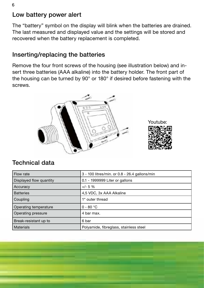## Low battery power alert

The "battery" symbol on the display will blink when the batteries are drained. The last measured and displayed value and the settings will be stored and recovered when the battery replacement is completed.

#### Inserting/replacing the batteries

Remove the four front screws of the housing (see illustration below) and insert three batteries (AAA alkaline) into the battery holder. The front part of the housing can be turned by 90° or 180° if desired before fastening with the screws.





## Technical data

| Flow rate               | 3 - 100 litres/min. or 0.8 - 26.4 gallons/min |
|-------------------------|-----------------------------------------------|
| Displayed flow quantity | 0.1 - 1999999 Liter or gallons                |
| Accuracy                | $+/- 5%$                                      |
| <b>Batteries</b>        | 4,5 VDC, 3x AAA Alkaline                      |
| Coupling                | 1" outer thread                               |
| Operating temperature   | $0 - 80 °C$                                   |
| Operating pressure      | 4 bar max.                                    |
| Break-resistant up to   | 6 bar                                         |
| <b>Materials</b>        | Polyamide, fibreglass, stainless steel        |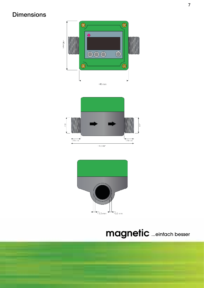## **Dimensions**



 $\frac{4}{120}$  cm